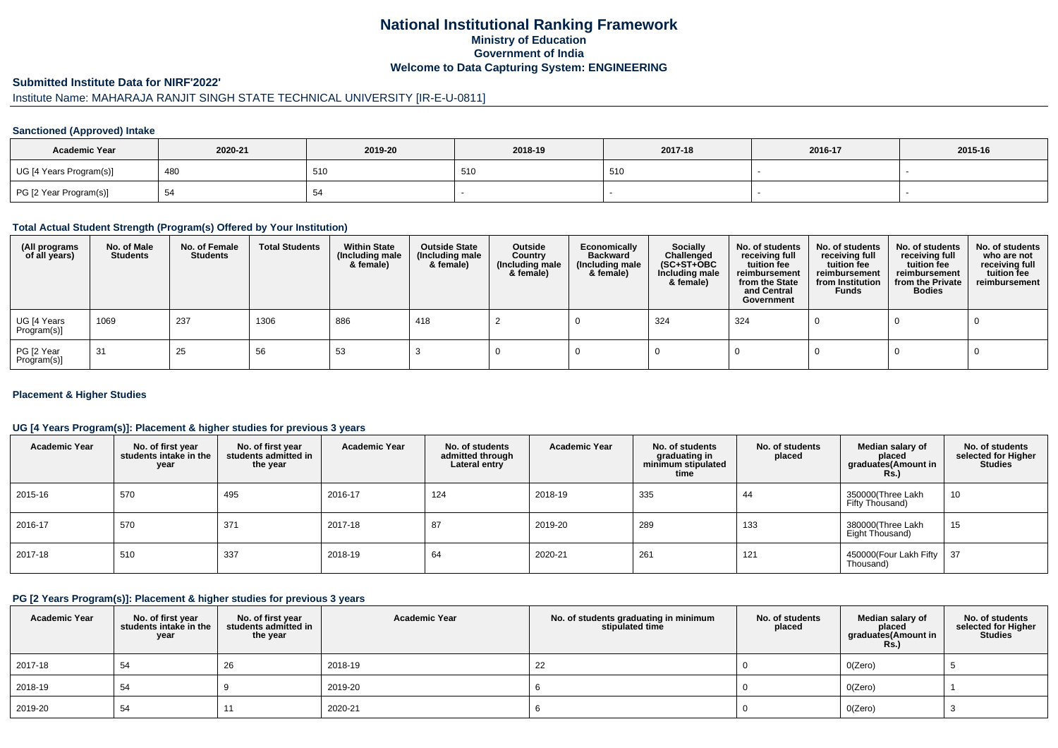## **National Institutional Ranking FrameworkMinistry of Education Government of IndiaWelcome to Data Capturing System: ENGINEERING**

#### **Submitted Institute Data for NIRF'2022'**

# Institute Name: MAHARAJA RANJIT SINGH STATE TECHNICAL UNIVERSITY [IR-E-U-0811]

#### **Sanctioned (Approved) Intake**

| <b>Academic Year</b>    | 2020-21 | 2019-20 | 2018-19 | 2017-18 | 2016-17 | 2015-16 |
|-------------------------|---------|---------|---------|---------|---------|---------|
| UG [4 Years Program(s)] | 480     | 510     | 510     | 510     |         |         |
| PG [2 Year Program(s)]  | -ت      |         |         |         |         |         |

#### **Total Actual Student Strength (Program(s) Offered by Your Institution)**

| (All programs<br>of all years) | No. of Male<br><b>Students</b> | No. of Female<br>Students | <b>Total Students</b> | <b>Within State</b><br>(Including male<br>& female) | <b>Outside State</b><br>(Including male<br>& female) | Outside<br>Country<br>(Including male<br>& female) | Economically<br><b>Backward</b><br>(Including male<br>& female) | <b>Socially</b><br>Challenged<br>$(SC+ST+OBC)$<br>Including male<br>& female) | No. of students<br>receiving full<br>tuition fee<br>reimbursement<br>from the State<br>and Central<br>Government | No. of students<br>receiving full<br>tuition fee<br>reimbursement<br>from Institution<br><b>Funds</b> | No. of students<br>receiving full<br>tuition fee<br>reimbursement<br>from the Private<br><b>Bodies</b> | No. of students<br>who are not<br>receiving full<br>tuition fee<br>reimbursement |
|--------------------------------|--------------------------------|---------------------------|-----------------------|-----------------------------------------------------|------------------------------------------------------|----------------------------------------------------|-----------------------------------------------------------------|-------------------------------------------------------------------------------|------------------------------------------------------------------------------------------------------------------|-------------------------------------------------------------------------------------------------------|--------------------------------------------------------------------------------------------------------|----------------------------------------------------------------------------------|
| UG [4 Years<br>Program(s)]     | 1069                           | 237                       | 1306                  | 886                                                 | 418                                                  |                                                    |                                                                 | 324                                                                           | 324                                                                                                              |                                                                                                       |                                                                                                        |                                                                                  |
| PG [2 Year<br>Program(s)]      | -31                            | 25                        | 56                    | 53                                                  |                                                      |                                                    |                                                                 |                                                                               |                                                                                                                  |                                                                                                       |                                                                                                        |                                                                                  |

#### **Placement & Higher Studies**

#### **UG [4 Years Program(s)]: Placement & higher studies for previous 3 years**

| <b>Academic Year</b> | No. of first year<br>students intake in the<br>year | No. of first vear<br>students admitted in<br>the year | <b>Academic Year</b> | No. of students<br>admitted through<br>Lateral entry | <b>Academic Year</b> | No. of students<br>graduating in<br>minimum stipulated<br>time | No. of students<br>placed | Median salary of<br>placed<br>graduates(Amount in<br><b>Rs.</b> ) | No. of students<br>selected for Higher<br><b>Studies</b> |
|----------------------|-----------------------------------------------------|-------------------------------------------------------|----------------------|------------------------------------------------------|----------------------|----------------------------------------------------------------|---------------------------|-------------------------------------------------------------------|----------------------------------------------------------|
| 2015-16              | 570                                                 | 495                                                   | 2016-17              | 124                                                  | 2018-19              | 335                                                            | 44                        | 350000(Three Lakh<br>Fifty Thousand)                              | 10                                                       |
| 2016-17              | 570                                                 | 371                                                   | 2017-18              | 87                                                   | 2019-20              | 289                                                            | 133                       | 380000(Three Lakh<br>Eight Thousand)                              | 15                                                       |
| 2017-18              | 510                                                 | 337                                                   | 2018-19              | 64                                                   | 2020-21              | 261                                                            | 121                       | 450000(Four Lakh Fifty<br>Thousand)                               | 37                                                       |

#### **PG [2 Years Program(s)]: Placement & higher studies for previous 3 years**

| <b>Academic Year</b> | No. of first year<br>students intake in the<br>year | No. of first year<br>students admitted in<br>the year | <b>Academic Year</b> | No. of students graduating in minimum<br>stipulated time | No. of students<br>placed | Median salary of<br>placed<br>graduates(Amount in<br><b>Rs.)</b> | No. of students<br>selected for Higher<br><b>Studies</b> |
|----------------------|-----------------------------------------------------|-------------------------------------------------------|----------------------|----------------------------------------------------------|---------------------------|------------------------------------------------------------------|----------------------------------------------------------|
| 2017-18              | 54                                                  | 26                                                    | 2018-19              | 22                                                       |                           | O(Zero)                                                          |                                                          |
| 2018-19              | 54                                                  |                                                       | 2019-20              |                                                          |                           | O(Zero)                                                          |                                                          |
| 2019-20              | 54                                                  |                                                       | 2020-21              |                                                          |                           | O(Zero)                                                          |                                                          |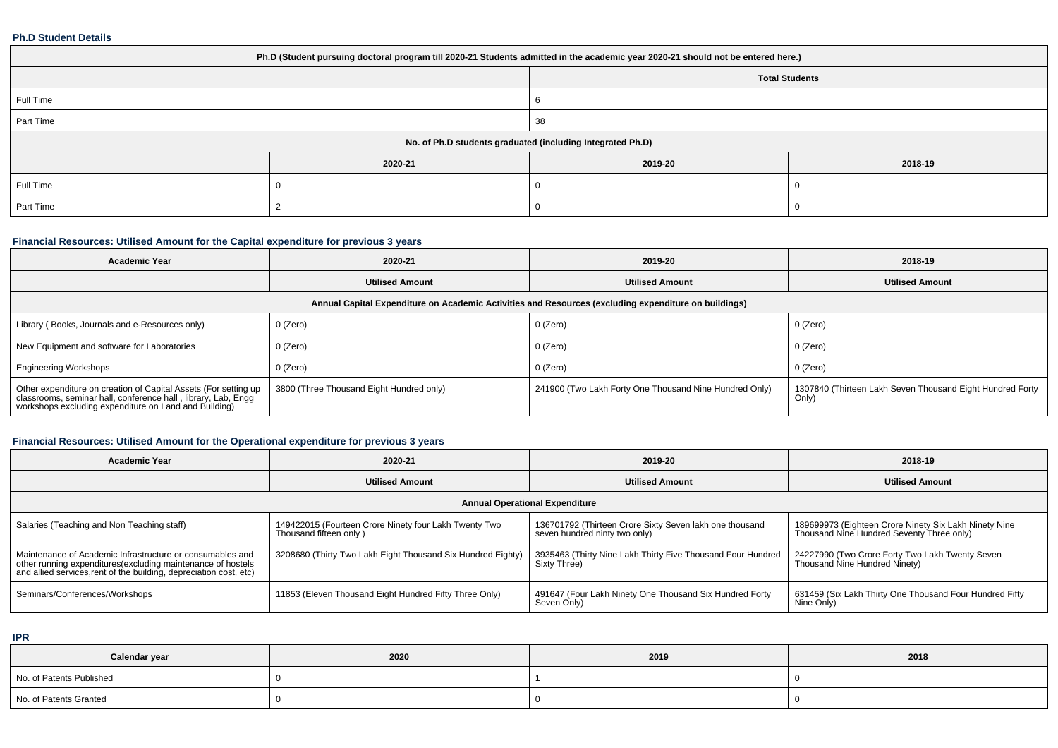#### **Ph.D Student Details**

| Ph.D (Student pursuing doctoral program till 2020-21 Students admitted in the academic year 2020-21 should not be entered here.) |         |         |         |  |  |  |  |
|----------------------------------------------------------------------------------------------------------------------------------|---------|---------|---------|--|--|--|--|
| <b>Total Students</b>                                                                                                            |         |         |         |  |  |  |  |
| Full Time                                                                                                                        |         |         |         |  |  |  |  |
| Part Time                                                                                                                        |         | 38      |         |  |  |  |  |
| No. of Ph.D students graduated (including Integrated Ph.D)                                                                       |         |         |         |  |  |  |  |
|                                                                                                                                  | 2020-21 | 2019-20 | 2018-19 |  |  |  |  |
| Full Time                                                                                                                        |         |         |         |  |  |  |  |
| Part Time                                                                                                                        |         |         |         |  |  |  |  |

### **Financial Resources: Utilised Amount for the Capital expenditure for previous 3 years**

| 2020-21<br><b>Academic Year</b>                                                                                                                                                           |                                          | 2019-20                                                | 2018-19                                                            |  |  |  |  |  |
|-------------------------------------------------------------------------------------------------------------------------------------------------------------------------------------------|------------------------------------------|--------------------------------------------------------|--------------------------------------------------------------------|--|--|--|--|--|
|                                                                                                                                                                                           | <b>Utilised Amount</b>                   | <b>Utilised Amount</b>                                 | <b>Utilised Amount</b>                                             |  |  |  |  |  |
| Annual Capital Expenditure on Academic Activities and Resources (excluding expenditure on buildings)                                                                                      |                                          |                                                        |                                                                    |  |  |  |  |  |
| Library (Books, Journals and e-Resources only)                                                                                                                                            | 0 (Zero)                                 | 0 (Zero)                                               | 0 (Zero)                                                           |  |  |  |  |  |
| New Equipment and software for Laboratories                                                                                                                                               | 0 (Zero)                                 | 0 (Zero)                                               | 0 (Zero)                                                           |  |  |  |  |  |
| <b>Engineering Workshops</b>                                                                                                                                                              | 0 (Zero)                                 | 0 (Zero)                                               | 0 (Zero)                                                           |  |  |  |  |  |
| Other expenditure on creation of Capital Assets (For setting up<br>classrooms, seminar hall, conference hall, library, Lab, Engg<br>workshops excluding expenditure on Land and Building) | 3800 (Three Thousand Eight Hundred only) | 241900 (Two Lakh Forty One Thousand Nine Hundred Only) | 1307840 (Thirteen Lakh Seven Thousand Eight Hundred Forty<br>Only) |  |  |  |  |  |

### **Financial Resources: Utilised Amount for the Operational expenditure for previous 3 years**

| <b>Academic Year</b>                                                                                                                                                                            | 2020-21                                                                         | 2019-20                                                                                  | 2018-19                                                                                            |  |  |  |  |  |  |
|-------------------------------------------------------------------------------------------------------------------------------------------------------------------------------------------------|---------------------------------------------------------------------------------|------------------------------------------------------------------------------------------|----------------------------------------------------------------------------------------------------|--|--|--|--|--|--|
|                                                                                                                                                                                                 | <b>Utilised Amount</b>                                                          | <b>Utilised Amount</b>                                                                   | <b>Utilised Amount</b>                                                                             |  |  |  |  |  |  |
| <b>Annual Operational Expenditure</b>                                                                                                                                                           |                                                                                 |                                                                                          |                                                                                                    |  |  |  |  |  |  |
| Salaries (Teaching and Non Teaching staff)                                                                                                                                                      | 149422015 (Fourteen Crore Ninety four Lakh Twenty Two<br>Thousand fifteen only) | 136701792 (Thirteen Crore Sixty Seven lakh one thousand<br>seven hundred ninty two only) | 189699973 (Eighteen Crore Ninety Six Lakh Ninety Nine<br>Thousand Nine Hundred Seventy Three only) |  |  |  |  |  |  |
| Maintenance of Academic Infrastructure or consumables and<br>other running expenditures (excluding maintenance of hostels<br>and allied services, rent of the building, depreciation cost, etc) | 3208680 (Thirty Two Lakh Eight Thousand Six Hundred Eighty)                     | 3935463 (Thirty Nine Lakh Thirty Five Thousand Four Hundred<br>Sixty Three)              | 24227990 (Two Crore Forty Two Lakh Twenty Seven<br>Thousand Nine Hundred Ninety)                   |  |  |  |  |  |  |
| Seminars/Conferences/Workshops                                                                                                                                                                  | 11853 (Eleven Thousand Eight Hundred Fifty Three Only)                          | 491647 (Four Lakh Ninety One Thousand Six Hundred Forty<br>Seven Only)                   | 631459 (Six Lakh Thirty One Thousand Four Hundred Fifty<br>Nine Only)                              |  |  |  |  |  |  |

**IPR**

| Calendar year            | 2020 | 2019 | 2018 |
|--------------------------|------|------|------|
| No. of Patents Published |      |      |      |
| No. of Patents Granted   |      |      |      |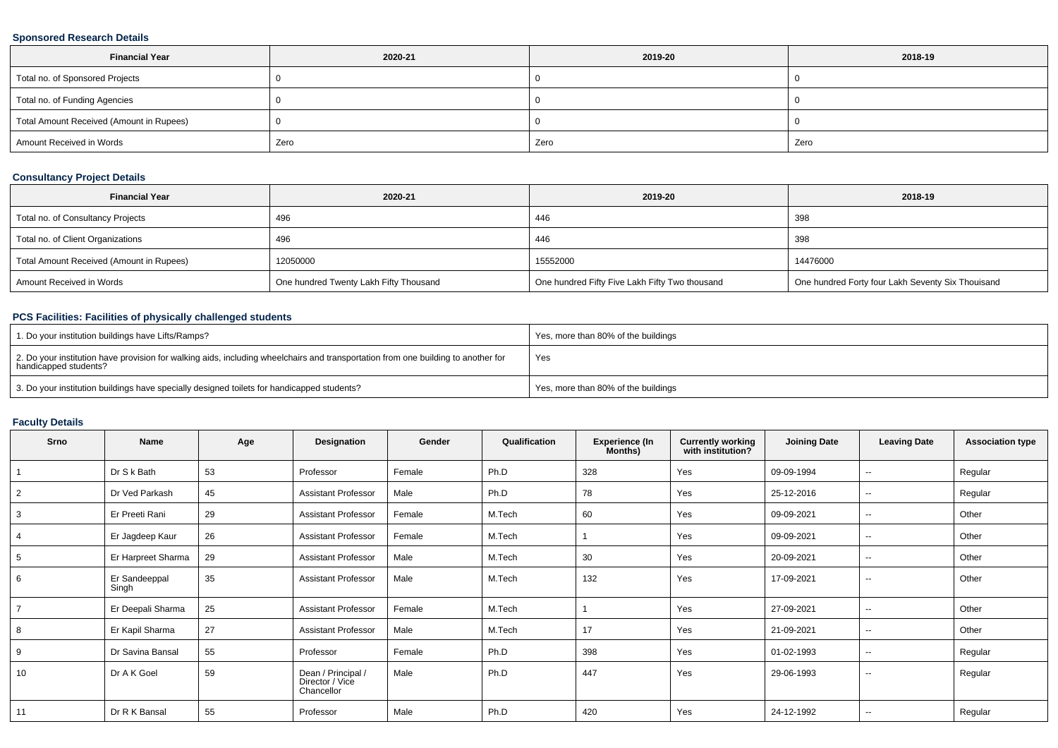### **Sponsored Research Details**

| <b>Financial Year</b>                    | 2020-21 | 2019-20 | 2018-19 |
|------------------------------------------|---------|---------|---------|
| Total no. of Sponsored Projects          |         |         |         |
| Total no. of Funding Agencies            |         |         |         |
| Total Amount Received (Amount in Rupees) |         |         |         |
| Amount Received in Words                 | Zero    | Zero    | Zero    |

### **Consultancy Project Details**

| <b>Financial Year</b>                    | 2020-21                                | 2019-20                                        | 2018-19                                           |
|------------------------------------------|----------------------------------------|------------------------------------------------|---------------------------------------------------|
| Total no. of Consultancy Projects        | 496                                    | 446                                            | 398                                               |
| Total no. of Client Organizations        | 496                                    | 446                                            | 398                                               |
| Total Amount Received (Amount in Rupees) | 12050000                               | 15552000                                       | 14476000                                          |
| Amount Received in Words                 | One hundred Twenty Lakh Fifty Thousand | One hundred Fifty Five Lakh Fifty Two thousand | One hundred Forty four Lakh Seventy Six Thouisand |

### **PCS Facilities: Facilities of physically challenged students**

| 1. Do your institution buildings have Lifts/Ramps?                                                                                                         | Yes, more than 80% of the buildings |
|------------------------------------------------------------------------------------------------------------------------------------------------------------|-------------------------------------|
| 2. Do your institution have provision for walking aids, including wheelchairs and transportation from one building to another for<br>handicapped students? | Yes                                 |
| 3. Do your institution buildings have specially designed toilets for handicapped students?                                                                 | Yes, more than 80% of the buildings |

# **Faculty Details**

| Srno           | Name                   | Age | Designation                                         | Gender | Qualification | <b>Experience (In</b><br>Months) | <b>Currently working</b><br>with institution? | <b>Joining Date</b> | <b>Leaving Date</b> | <b>Association type</b> |
|----------------|------------------------|-----|-----------------------------------------------------|--------|---------------|----------------------------------|-----------------------------------------------|---------------------|---------------------|-------------------------|
|                | Dr S k Bath            | 53  | Professor                                           | Female | Ph.D          | 328                              | Yes                                           | 09-09-1994          | $\sim$              | Regular                 |
| 2              | Dr Ved Parkash         | 45  | <b>Assistant Professor</b>                          | Male   | Ph.D          | 78                               | Yes                                           | 25-12-2016          | $\sim$              | Regular                 |
| 3              | Er Preeti Rani         | 29  | <b>Assistant Professor</b>                          | Female | M.Tech        | 60                               | Yes                                           | 09-09-2021          | $\sim$              | Other                   |
| 4              | Er Jagdeep Kaur        | 26  | <b>Assistant Professor</b>                          | Female | M.Tech        |                                  | Yes                                           | 09-09-2021          | $\sim$              | Other                   |
| 5              | Er Harpreet Sharma     | 29  | <b>Assistant Professor</b>                          | Male   | M.Tech        | 30                               | Yes                                           | 20-09-2021          | $\sim$              | Other                   |
| 6              | Er Sandeeppal<br>Singh | 35  | <b>Assistant Professor</b>                          | Male   | M.Tech        | 132                              | Yes                                           | 17-09-2021          | $\sim$              | Other                   |
| $\overline{7}$ | Er Deepali Sharma      | 25  | <b>Assistant Professor</b>                          | Female | M.Tech        |                                  | Yes                                           | 27-09-2021          | $\sim$              | Other                   |
| 8              | Er Kapil Sharma        | 27  | <b>Assistant Professor</b>                          | Male   | M.Tech        | 17                               | Yes                                           | 21-09-2021          | $\sim$              | Other                   |
| 9              | Dr Savina Bansal       | 55  | Professor                                           | Female | Ph.D          | 398                              | Yes                                           | 01-02-1993          | $\sim$              | Regular                 |
| 10             | Dr A K Goel            | 59  | Dean / Principal /<br>Director / Vice<br>Chancellor | Male   | Ph.D          | 447                              | Yes                                           | 29-06-1993          | $\sim$              | Regular                 |
| 11             | Dr R K Bansal          | 55  | Professor                                           | Male   | Ph.D          | 420                              | Yes                                           | 24-12-1992          | $\sim$              | Regular                 |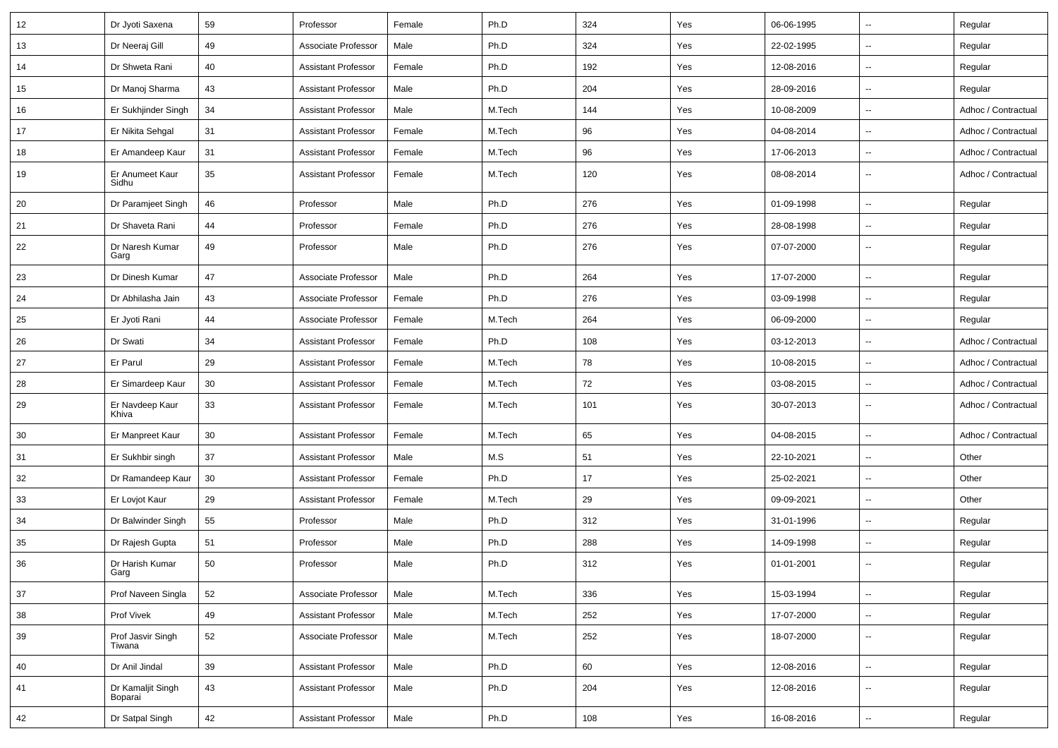| 12 | Dr Jyoti Saxena              | 59 | Professor                  | Female | Ph.D   | 324 | Yes | 06-06-1995 | $\overline{\phantom{a}}$ | Regular             |
|----|------------------------------|----|----------------------------|--------|--------|-----|-----|------------|--------------------------|---------------------|
| 13 | Dr Neeraj Gill               | 49 | Associate Professor        | Male   | Ph.D   | 324 | Yes | 22-02-1995 | Ξ.                       | Regular             |
| 14 | Dr Shweta Rani               | 40 | <b>Assistant Professor</b> | Female | Ph.D   | 192 | Yes | 12-08-2016 | --                       | Regular             |
| 15 | Dr Manoj Sharma              | 43 | Assistant Professor        | Male   | Ph.D   | 204 | Yes | 28-09-2016 | $\overline{\phantom{a}}$ | Regular             |
| 16 | Er Sukhjinder Singh          | 34 | <b>Assistant Professor</b> | Male   | M.Tech | 144 | Yes | 10-08-2009 | $\overline{\phantom{a}}$ | Adhoc / Contractual |
| 17 | Er Nikita Sehgal             | 31 | <b>Assistant Professor</b> | Female | M.Tech | 96  | Yes | 04-08-2014 | $\overline{\phantom{a}}$ | Adhoc / Contractual |
| 18 | Er Amandeep Kaur             | 31 | <b>Assistant Professor</b> | Female | M.Tech | 96  | Yes | 17-06-2013 | Ξ.                       | Adhoc / Contractual |
| 19 | Er Anumeet Kaur<br>Sidhu     | 35 | <b>Assistant Professor</b> | Female | M.Tech | 120 | Yes | 08-08-2014 | $\overline{\phantom{a}}$ | Adhoc / Contractual |
| 20 | Dr Paramjeet Singh           | 46 | Professor                  | Male   | Ph.D   | 276 | Yes | 01-09-1998 | Ξ.                       | Regular             |
| 21 | Dr Shaveta Rani              | 44 | Professor                  | Female | Ph.D   | 276 | Yes | 28-08-1998 | $\overline{\phantom{a}}$ | Regular             |
| 22 | Dr Naresh Kumar<br>Garg      | 49 | Professor                  | Male   | Ph.D   | 276 | Yes | 07-07-2000 | $\overline{\phantom{a}}$ | Regular             |
| 23 | Dr Dinesh Kumar              | 47 | Associate Professor        | Male   | Ph.D   | 264 | Yes | 17-07-2000 | Ξ.                       | Regular             |
| 24 | Dr Abhilasha Jain            | 43 | Associate Professor        | Female | Ph.D   | 276 | Yes | 03-09-1998 | $\overline{\phantom{a}}$ | Regular             |
| 25 | Er Jyoti Rani                | 44 | Associate Professor        | Female | M.Tech | 264 | Yes | 06-09-2000 | $\overline{\phantom{a}}$ | Regular             |
| 26 | Dr Swati                     | 34 | <b>Assistant Professor</b> | Female | Ph.D   | 108 | Yes | 03-12-2013 | $\overline{\phantom{a}}$ | Adhoc / Contractual |
| 27 | Er Parul                     | 29 | <b>Assistant Professor</b> | Female | M.Tech | 78  | Yes | 10-08-2015 | Щ,                       | Adhoc / Contractual |
| 28 | Er Simardeep Kaur            | 30 | <b>Assistant Professor</b> | Female | M.Tech | 72  | Yes | 03-08-2015 | $\overline{\phantom{a}}$ | Adhoc / Contractual |
| 29 | Er Navdeep Kaur<br>Khiva     | 33 | <b>Assistant Professor</b> | Female | M.Tech | 101 | Yes | 30-07-2013 | $\overline{\phantom{a}}$ | Adhoc / Contractual |
| 30 | Er Manpreet Kaur             | 30 | <b>Assistant Professor</b> | Female | M.Tech | 65  | Yes | 04-08-2015 | Щ,                       | Adhoc / Contractual |
| 31 | Er Sukhbir singh             | 37 | <b>Assistant Professor</b> | Male   | M.S    | 51  | Yes | 22-10-2021 | $\overline{\phantom{a}}$ | Other               |
| 32 | Dr Ramandeep Kaur            | 30 | <b>Assistant Professor</b> | Female | Ph.D   | 17  | Yes | 25-02-2021 | $\overline{\phantom{a}}$ | Other               |
| 33 | Er Lovjot Kaur               | 29 | <b>Assistant Professor</b> | Female | M.Tech | 29  | Yes | 09-09-2021 | Ξ.                       | Other               |
| 34 | Dr Balwinder Singh           | 55 | Professor                  | Male   | Ph.D   | 312 | Yes | 31-01-1996 | $\overline{\phantom{a}}$ | Regular             |
| 35 | Dr Rajesh Gupta              | 51 | Professor                  | Male   | Ph.D   | 288 | Yes | 14-09-1998 | $\overline{\phantom{a}}$ | Regular             |
| 36 | Dr Harish Kumar<br>Garg      | 50 | Professor                  | Male   | Ph.D   | 312 | Yes | 01-01-2001 | $\overline{\phantom{a}}$ | Regular             |
| 37 | Prof Naveen Singla           | 52 | Associate Professor        | Male   | M.Tech | 336 | Yes | 15-03-1994 | Ξ.                       | Regular             |
| 38 | Prof Vivek                   | 49 | <b>Assistant Professor</b> | Male   | M.Tech | 252 | Yes | 17-07-2000 | Щ,                       | Regular             |
| 39 | Prof Jasvir Singh<br>Tiwana  | 52 | Associate Professor        | Male   | M.Tech | 252 | Yes | 18-07-2000 | Щ,                       | Regular             |
| 40 | Dr Anil Jindal               | 39 | <b>Assistant Professor</b> | Male   | Ph.D   | 60  | Yes | 12-08-2016 | Щ,                       | Regular             |
| 41 | Dr Kamaljit Singh<br>Boparai | 43 | <b>Assistant Professor</b> | Male   | Ph.D   | 204 | Yes | 12-08-2016 | Ξ.                       | Regular             |
| 42 | Dr Satpal Singh              | 42 | <b>Assistant Professor</b> | Male   | Ph.D   | 108 | Yes | 16-08-2016 | ÷,                       | Regular             |